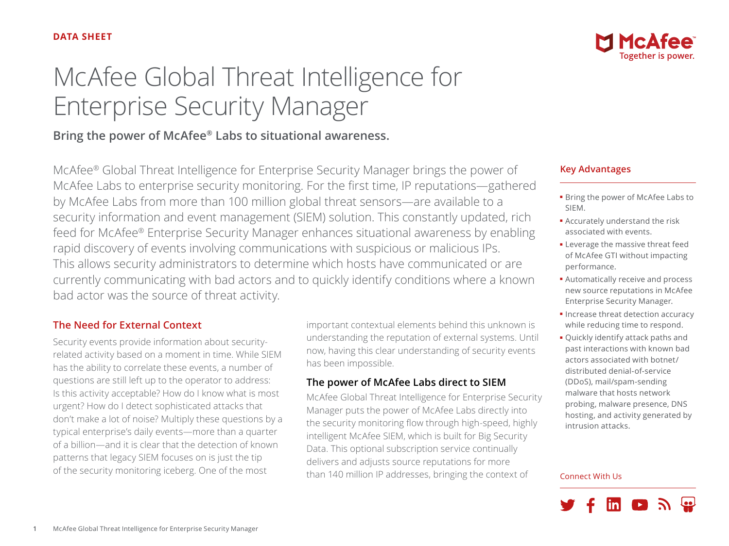# McAfee Global Threat Intelligence for Enterprise Security Manager

## **Bring the power of McAfee® Labs to situational awareness.**

McAfee® Global Threat Intelligence for Enterprise Security Manager brings the power of McAfee Labs to enterprise security monitoring. For the first time, IP reputations—gathered by McAfee Labs from more than 100 million global threat sensors—are available to a security information and event management (SIEM) solution. This constantly updated, rich feed for McAfee® Enterprise Security Manager enhances situational awareness by enabling rapid discovery of events involving communications with suspicious or malicious IPs. This allows security administrators to determine which hosts have communicated or are currently communicating with bad actors and to quickly identify conditions where a known bad actor was the source of threat activity.

## **The Need for External Context**

Security events provide information about securityrelated activity based on a moment in time. While SIEM has the ability to correlate these events, a number of questions are still left up to the operator to address: Is this activity acceptable? How do I know what is most urgent? How do I detect sophisticated attacks that don't make a lot of noise? Multiply these questions by a typical enterprise's daily events—more than a quarter of a billion—and it is clear that the detection of known patterns that legacy SIEM focuses on is just the tip of the security monitoring iceberg. One of the most

important contextual elements behind this unknown is understanding the reputation of external systems. Until now, having this clear understanding of security events has been impossible.

## **The power of McAfee Labs direct to SIEM**

McAfee Global Threat Intelligence for Enterprise Security Manager puts the power of McAfee Labs directly into the security monitoring flow through high-speed, highly intelligent McAfee SIEM, which is built for Big Security Data. This optional subscription service continually delivers and adjusts source reputations for more than 140 million IP addresses, bringing the context of



## **Key Advantages**

- Bring the power of McAfee Labs to SIEM.
- Accurately understand the risk associated with events.
- Leverage the massive threat feed of McAfee GTI without impacting performance.
- Automatically receive and process new source reputations in McAfee Enterprise Security Manager.
- Increase threat detection accuracy while reducing time to respond.
- Quickly identify attack paths and past interactions with known bad actors associated with botnet/ distributed denial-of-service (DDoS), mail/spam-sending malware that hosts network probing, malware presence, DNS hosting, and activity generated by intrusion attacks.

#### Connect With Us

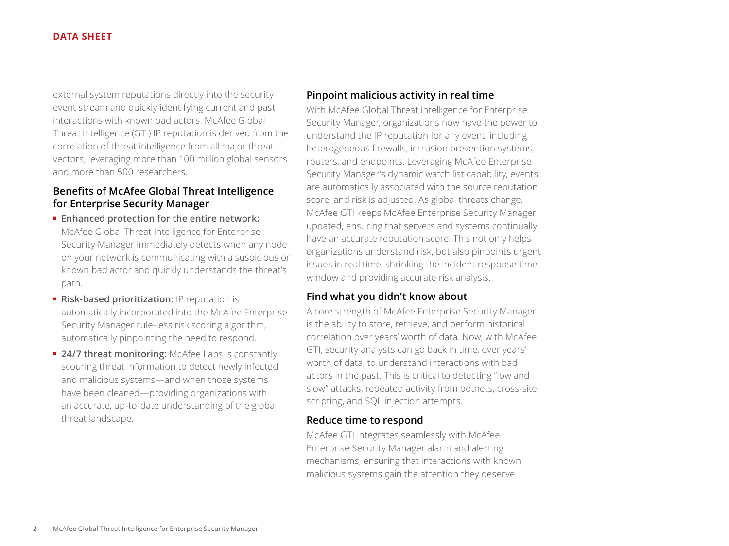#### **DATA SHEET**

external system reputations directly into the security event stream and quickly identifying current and past interactions with known bad actors. McAfee Global Threat Intelligence (GTI) IP reputation is derived from the correlation of threat intelligence from all major threat vectors, leveraging more than 100 million global sensors and more than 500 researchers.

## **Benefits of McAfee Global Threat Intelligence for Enterprise Security Manager**

- **Enhanced protection for the entire network:** McAfee Global Threat Intelligence for Enterprise Security Manager immediately detects when any node on your network is communicating with a suspicious or known bad actor and quickly understands the threat's path.
- **Risk-based prioritization:** IP reputation is automatically incorporated into the McAfee Enterprise Security Manager rule-less risk scoring algorithm, automatically pinpointing the need to respond.
- **24/7 threat monitoring:** McAfee Labs is constantly scouring threat information to detect newly infected and malicious systems—and when those systems have been cleaned—providing organizations with an accurate, up-to-date understanding of the global threat landscape.

#### **Pinpoint malicious activity in real time**

With McAfee Global Threat Intelligence for Enterprise Security Manager, organizations now have the power to understand the IP reputation for any event, including heterogeneous firewalls, intrusion prevention systems, routers, and endpoints. Leveraging McAfee Enterprise Security Manager's dynamic watch list capability, events are automatically associated with the source reputation score, and risk is adjusted. As global threats change, McAfee GTI keeps McAfee Enterprise Security Manager updated, ensuring that servers and systems continually have an accurate reputation score. This not only helps organizations understand risk, but also pinpoints urgent issues in real time, shrinking the incident response time window and providing accurate risk analysis.

## **Find what you didn't know about**

A core strength of McAfee Enterprise Security Manager is the ability to store, retrieve, and perform historical correlation over years' worth of data. Now, with McAfee GTI, security analysts can go back in time, over years' worth of data, to understand interactions with bad actors in the past. This is critical to detecting "low and slow" attacks, repeated activity from botnets, cross-site scripting, and SQL injection attempts.

### **Reduce time to respond**

McAfee GTI integrates seamlessly with McAfee Enterprise Security Manager alarm and alerting mechanisms, ensuring that interactions with known malicious systems gain the attention they deserve.